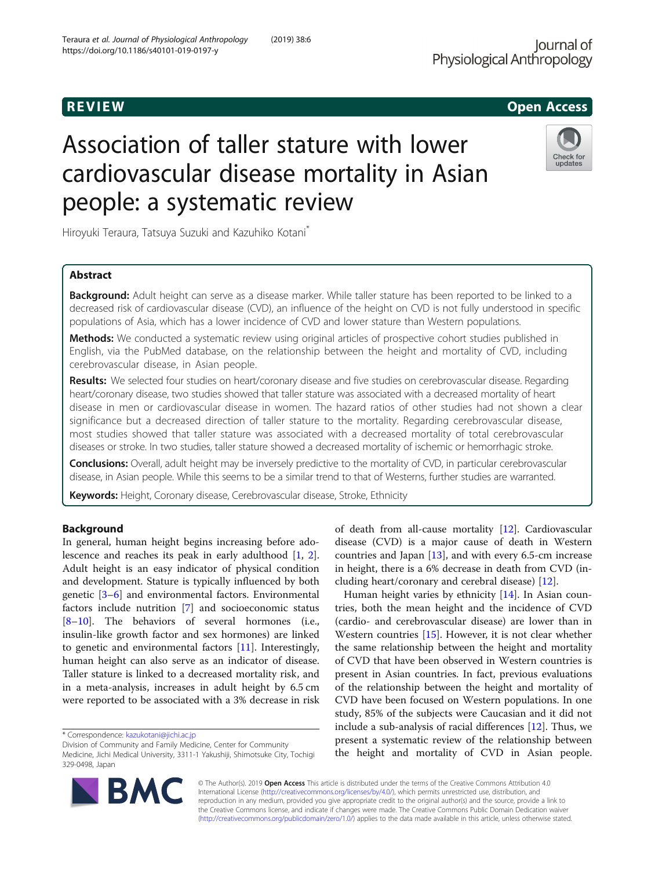R EVI EW Open Access

Physiological Anthropology

# Association of taller stature with lower cardiovascular disease mortality in Asian people: a systematic review



lournal of

Hiroyuki Teraura, Tatsuya Suzuki and Kazuhiko Kotani<sup>\*</sup>

# Abstract

Background: Adult height can serve as a disease marker. While taller stature has been reported to be linked to a decreased risk of cardiovascular disease (CVD), an influence of the height on CVD is not fully understood in specific populations of Asia, which has a lower incidence of CVD and lower stature than Western populations.

Methods: We conducted a systematic review using original articles of prospective cohort studies published in English, via the PubMed database, on the relationship between the height and mortality of CVD, including cerebrovascular disease, in Asian people.

Results: We selected four studies on heart/coronary disease and five studies on cerebrovascular disease. Regarding heart/coronary disease, two studies showed that taller stature was associated with a decreased mortality of heart disease in men or cardiovascular disease in women. The hazard ratios of other studies had not shown a clear significance but a decreased direction of taller stature to the mortality. Regarding cerebrovascular disease, most studies showed that taller stature was associated with a decreased mortality of total cerebrovascular diseases or stroke. In two studies, taller stature showed a decreased mortality of ischemic or hemorrhagic stroke.

**Conclusions:** Overall, adult height may be inversely predictive to the mortality of CVD, in particular cerebrovascular disease, in Asian people. While this seems to be a similar trend to that of Westerns, further studies are warranted.

Keywords: Height, Coronary disease, Cerebrovascular disease, Stroke, Ethnicity

# Background

In general, human height begins increasing before adolescence and reaches its peak in early adulthood [\[1](#page-4-0), [2](#page-4-0)]. Adult height is an easy indicator of physical condition and development. Stature is typically influenced by both genetic [[3](#page-4-0)–[6](#page-4-0)] and environmental factors. Environmental factors include nutrition [\[7](#page-4-0)] and socioeconomic status [[8](#page-4-0)-[10\]](#page-4-0). The behaviors of several hormones (i.e., insulin-like growth factor and sex hormones) are linked to genetic and environmental factors [\[11](#page-4-0)]. Interestingly, human height can also serve as an indicator of disease. Taller stature is linked to a decreased mortality risk, and in a meta-analysis, increases in adult height by 6.5 cm were reported to be associated with a 3% decrease in risk

\* Correspondence: [kazukotani@jichi.ac.jp](mailto:kazukotani@jichi.ac.jp)

Division of Community and Family Medicine, Center for Community Medicine, Jichi Medical University, 3311-1 Yakushiji, Shimotsuke City, Tochigi 329-0498, Japan

of death from all-cause mortality [\[12](#page-4-0)]. Cardiovascular disease (CVD) is a major cause of death in Western countries and Japan  $[13]$  $[13]$ , and with every 6.5-cm increase in height, there is a 6% decrease in death from CVD (including heart/coronary and cerebral disease) [[12\]](#page-4-0).

Human height varies by ethnicity [[14](#page-4-0)]. In Asian countries, both the mean height and the incidence of CVD (cardio- and cerebrovascular disease) are lower than in Western countries [\[15\]](#page-4-0). However, it is not clear whether the same relationship between the height and mortality of CVD that have been observed in Western countries is present in Asian countries. In fact, previous evaluations of the relationship between the height and mortality of CVD have been focused on Western populations. In one study, 85% of the subjects were Caucasian and it did not include a sub-analysis of racial differences [\[12\]](#page-4-0). Thus, we present a systematic review of the relationship between the height and mortality of CVD in Asian people.



© The Author(s). 2019 Open Access This article is distributed under the terms of the Creative Commons Attribution 4.0 International License [\(http://creativecommons.org/licenses/by/4.0/](http://creativecommons.org/licenses/by/4.0/)), which permits unrestricted use, distribution, and reproduction in any medium, provided you give appropriate credit to the original author(s) and the source, provide a link to the Creative Commons license, and indicate if changes were made. The Creative Commons Public Domain Dedication waiver [\(http://creativecommons.org/publicdomain/zero/1.0/](http://creativecommons.org/publicdomain/zero/1.0/)) applies to the data made available in this article, unless otherwise stated.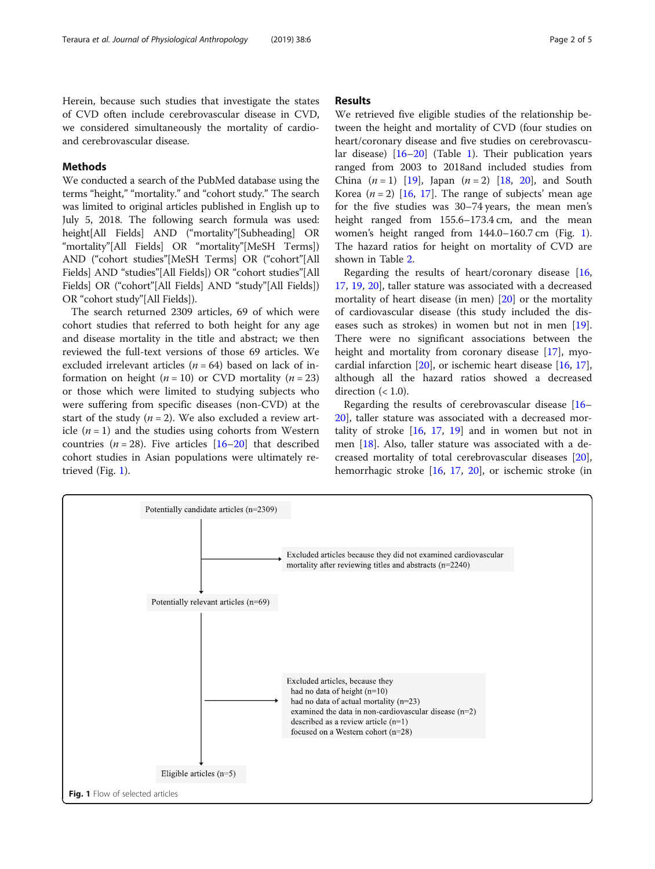Herein, because such studies that investigate the states of CVD often include cerebrovascular disease in CVD, we considered simultaneously the mortality of cardioand cerebrovascular disease.

# Methods

We conducted a search of the PubMed database using the terms "height," "mortality." and "cohort study." The search was limited to original articles published in English up to July 5, 2018. The following search formula was used: height[All Fields] AND ("mortality"[Subheading] OR "mortality"[All Fields] OR "mortality"[MeSH Terms]) AND ("cohort studies"[MeSH Terms] OR ("cohort"[All Fields] AND "studies"[All Fields]) OR "cohort studies"[All Fields] OR ("cohort"[All Fields] AND "study"[All Fields]) OR "cohort study"[All Fields]).

The search returned 2309 articles, 69 of which were cohort studies that referred to both height for any age and disease mortality in the title and abstract; we then reviewed the full-text versions of those 69 articles. We excluded irrelevant articles  $(n = 64)$  based on lack of information on height ( $n = 10$ ) or CVD mortality ( $n = 23$ ) or those which were limited to studying subjects who were suffering from specific diseases (non-CVD) at the start of the study  $(n = 2)$ . We also excluded a review article  $(n = 1)$  and the studies using cohorts from Western countries ( $n = 28$ ). Five articles [[16](#page-4-0)–[20](#page-4-0)] that described cohort studies in Asian populations were ultimately retrieved (Fig. 1).

## Results

We retrieved five eligible studies of the relationship between the height and mortality of CVD (four studies on heart/coronary disease and five studies on cerebrovascular disease) [\[16](#page-4-0)–[20\]](#page-4-0) (Table [1](#page-2-0)). Their publication years ranged from 2003 to 2018and included studies from China  $(n = 1)$  [\[19](#page-4-0)], Japan  $(n = 2)$  [[18,](#page-4-0) [20\]](#page-4-0), and South Korea ( $n = 2$ ) [\[16](#page-4-0), [17](#page-4-0)]. The range of subjects' mean age for the five studies was 30–74 years, the mean men's height ranged from 155.6–173.4 cm, and the mean women's height ranged from 144.0–160.7 cm (Fig. 1). The hazard ratios for height on mortality of CVD are shown in Table [2](#page-3-0).

Regarding the results of heart/coronary disease  $[16, 16]$  $[16, 16]$  $[16, 16]$ [17,](#page-4-0) [19,](#page-4-0) [20\]](#page-4-0), taller stature was associated with a decreased mortality of heart disease (in men) [\[20](#page-4-0)] or the mortality of cardiovascular disease (this study included the diseases such as strokes) in women but not in men [\[19](#page-4-0)]. There were no significant associations between the height and mortality from coronary disease [[17](#page-4-0)], myocardial infarction [[20\]](#page-4-0), or ischemic heart disease [\[16](#page-4-0), [17](#page-4-0)], although all the hazard ratios showed a decreased direction  $(< 1.0$ ).

Regarding the results of cerebrovascular disease [[16](#page-4-0)– [20\]](#page-4-0), taller stature was associated with a decreased mortality of stroke  $[16, 17, 19]$  $[16, 17, 19]$  $[16, 17, 19]$  $[16, 17, 19]$  $[16, 17, 19]$  and in women but not in men [[18\]](#page-4-0). Also, taller stature was associated with a decreased mortality of total cerebrovascular diseases [\[20](#page-4-0)], hemorrhagic stroke [\[16](#page-4-0), [17](#page-4-0), [20\]](#page-4-0), or ischemic stroke (in

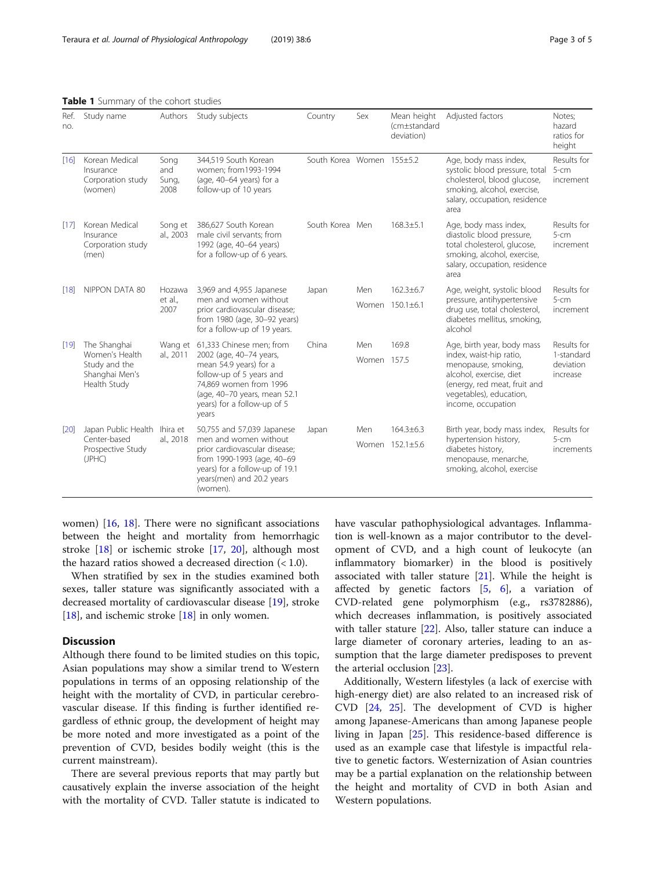<span id="page-2-0"></span>Table 1 Summary of the cohort studies

Study name Authors Study subjects

Song and Sung, 344,519 South Korean women; from1993-1994 (age, 40–64 years) for a

Ref. no.

[[16](#page-4-0)] Korean Medical Insurance Corporation study

| Country                   | Sex | Mean height<br>(cm±standard<br>deviation) | Adjusted factors                                                                                                                                       | Notes;<br>hazard<br>ratios for<br>height |
|---------------------------|-----|-------------------------------------------|--------------------------------------------------------------------------------------------------------------------------------------------------------|------------------------------------------|
| South Korea Women 155+5.2 |     |                                           | Age, body mass index,<br>systolic blood pressure, total<br>cholesterol, blood glucose,<br>smoking, alcohol, exercise,<br>salary, occupation, residence | Results for<br>$5-cm$<br>increment       |

|        | (women)                                                                           | 2008                                                                                                                                                                                                                             | follow-up of 10 years                                                                                                                               |                 |     |                                                                                                                                                            | smoking, alcohol, exercise,<br>salary, occupation, residence<br>area                                                                                      |                                    |
|--------|-----------------------------------------------------------------------------------|----------------------------------------------------------------------------------------------------------------------------------------------------------------------------------------------------------------------------------|-----------------------------------------------------------------------------------------------------------------------------------------------------|-----------------|-----|------------------------------------------------------------------------------------------------------------------------------------------------------------|-----------------------------------------------------------------------------------------------------------------------------------------------------------|------------------------------------|
| [17]   | Korean Medical<br>Insurance<br>Corporation study<br>(men)                         | Song et<br>al., 2003                                                                                                                                                                                                             | 386.627 South Korean<br>male civil servants; from<br>1992 (age, 40-64 years)<br>for a follow-up of 6 years.                                         | South Korea Men |     | $168.3 \pm 5.1$                                                                                                                                            | Age, body mass index,<br>diastolic blood pressure,<br>total cholesterol, glucose,<br>smoking, alcohol, exercise,<br>salary, occupation, residence<br>area | Results for<br>5-cm<br>increment   |
| [18]   | NIPPON DATA 80                                                                    | Hozawa<br>et al.,<br>2007                                                                                                                                                                                                        | 3,969 and 4,955 Japanese<br>men and women without<br>prior cardiovascular disease;<br>from 1980 (age, 30-92 years)<br>for a follow-up of 19 years.  | Japan           | Men | $162.3 \pm 6.7$                                                                                                                                            | Age, weight, systolic blood<br>pressure, antihypertensive<br>drug use, total cholesterol,<br>diabetes mellitus, smoking,<br>alcohol                       | Results for<br>$5-cm$<br>increment |
|        |                                                                                   |                                                                                                                                                                                                                                  |                                                                                                                                                     |                 |     | Women 150.1±6.1                                                                                                                                            |                                                                                                                                                           |                                    |
| $[19]$ | The Shanghai<br>Women's Health<br>Study and the<br>Shanghai Men's<br>Health Study | Wang et 61,333 Chinese men; from<br>al., 2011<br>2002 (age, 40-74 years,<br>mean 54.9 years) for a<br>follow-up of 5 years and<br>74.869 women from 1996<br>(age, 40-70 years, mean 52.1<br>years) for a follow-up of 5<br>years |                                                                                                                                                     | China           | Men | 169.8                                                                                                                                                      | Age, birth year, body mass                                                                                                                                | Results for                        |
|        |                                                                                   |                                                                                                                                                                                                                                  |                                                                                                                                                     | Women 157.5     |     | index, waist-hip ratio,<br>menopause, smoking,<br>alcohol, exercise, diet<br>(energy, red meat, fruit and<br>vegetables), education,<br>income, occupation | 1-standard<br>deviation<br>increase                                                                                                                       |                                    |
| $[20]$ | Japan Public Health<br>Center-based<br>Prospective Study<br>(JPHC)                | Ihira et<br>al., 2018<br>(women).                                                                                                                                                                                                | 50,755 and 57,039 Japanese                                                                                                                          | Japan           | Men | $164.3 \pm 6.3$                                                                                                                                            | Birth year, body mass index,<br>hypertension history,<br>diabetes history,<br>menopause, menarche,<br>smoking, alcohol, exercise                          | Results for                        |
|        |                                                                                   |                                                                                                                                                                                                                                  | men and women without<br>prior cardiovascular disease;<br>from 1990-1993 (age, 40-69<br>years) for a follow-up of 19.1<br>years(men) and 20.2 years |                 |     | Women 152.1±5.6                                                                                                                                            |                                                                                                                                                           | $5$ -cm<br><i>increments</i>       |

women) [[16,](#page-4-0) [18](#page-4-0)]. There were no significant associations between the height and mortality from hemorrhagic stroke [[18](#page-4-0)] or ischemic stroke [\[17](#page-4-0), [20\]](#page-4-0), although most the hazard ratios showed a decreased direction  $(< 1.0$ ).

When stratified by sex in the studies examined both sexes, taller stature was significantly associated with a decreased mortality of cardiovascular disease [\[19](#page-4-0)], stroke [[18\]](#page-4-0), and ischemic stroke [[18](#page-4-0)] in only women.

# **Discussion**

Although there found to be limited studies on this topic, Asian populations may show a similar trend to Western populations in terms of an opposing relationship of the height with the mortality of CVD, in particular cerebrovascular disease. If this finding is further identified regardless of ethnic group, the development of height may be more noted and more investigated as a point of the prevention of CVD, besides bodily weight (this is the current mainstream).

There are several previous reports that may partly but causatively explain the inverse association of the height with the mortality of CVD. Taller statute is indicated to have vascular pathophysiological advantages. Inflammation is well-known as a major contributor to the development of CVD, and a high count of leukocyte (an inflammatory biomarker) in the blood is positively associated with taller stature  $[21]$  $[21]$ . While the height is affected by genetic factors [\[5](#page-4-0), [6\]](#page-4-0), a variation of CVD-related gene polymorphism (e.g., rs3782886), which decreases inflammation, is positively associated with taller stature [[22\]](#page-4-0). Also, taller stature can induce a large diameter of coronary arteries, leading to an assumption that the large diameter predisposes to prevent the arterial occlusion [\[23\]](#page-4-0).

Additionally, Western lifestyles (a lack of exercise with high-energy diet) are also related to an increased risk of CVD [\[24](#page-4-0), [25\]](#page-4-0). The development of CVD is higher among Japanese-Americans than among Japanese people living in Japan [[25\]](#page-4-0). This residence-based difference is used as an example case that lifestyle is impactful relative to genetic factors. Westernization of Asian countries may be a partial explanation on the relationship between the height and mortality of CVD in both Asian and Western populations.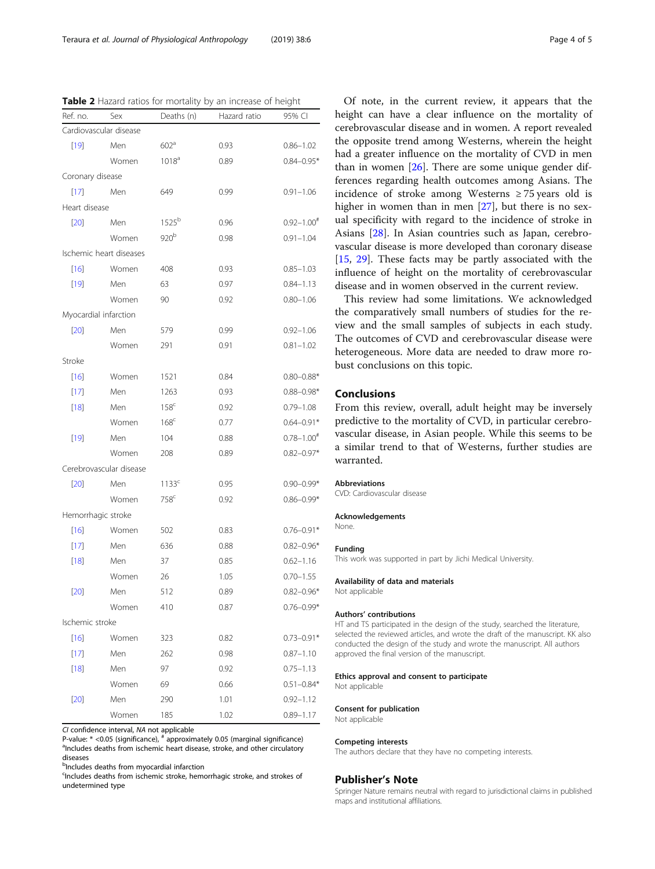<span id="page-3-0"></span>Table 2 Hazard ratios for mortality by an increase of height

| Ref. no.           | Sex                     | Deaths (n)        | Hazard ratio | 95% CI                     |  |
|--------------------|-------------------------|-------------------|--------------|----------------------------|--|
|                    | Cardiovascular disease  |                   |              |                            |  |
| $[19]$             | Men                     | 602 <sup>a</sup>  | 0.93         | $0.86 - 1.02$              |  |
|                    | Women                   | 1018 <sup>a</sup> | 0.89         | $0.84 - 0.95*$             |  |
| Coronary disease   |                         |                   |              |                            |  |
| $[17]$             | Men                     | 649               | 0.99         | $0.91 - 1.06$              |  |
| Heart disease      |                         |                   |              |                            |  |
| [20]               | Men                     | $1525^{\rm b}$    | 0.96         | $0.92 - 1.00^{\#}$         |  |
|                    | Women                   | 920 <sup>b</sup>  | 0.98         | $0.91 - 1.04$              |  |
|                    | Ischemic heart diseases |                   |              |                            |  |
| $[16]$             | Women                   | 408               | 0.93         | $0.85 - 1.03$              |  |
| $[19]$             | Men                     | 63                | 0.97         | $0.84 - 1.13$              |  |
|                    | Women                   | 90                | 0.92         | $0.80 - 1.06$              |  |
|                    | Myocardial infarction   |                   |              |                            |  |
| [20]               | Men                     | 579               | 0.99         | $0.92 - 1.06$              |  |
|                    | Women                   | 291               | 0.91         | $0.81 - 1.02$              |  |
| Stroke             |                         |                   |              |                            |  |
| [16]               | Women                   | 1521              | 0.84         | $0.80 - 0.88*$             |  |
| $[17]$             | Men                     | 1263              | 0.93         | $0.88 - 0.98*$             |  |
| $[18]$             | Men                     | 158 <sup>c</sup>  | 0.92         | $0.79 - 1.08$              |  |
|                    | Women                   | 168 <sup>c</sup>  | 0.77         | $0.64 - 0.91*$             |  |
| $[19]$             | Men                     | 104               | 0.88         | $0.78 - 1.00$ <sup>#</sup> |  |
|                    | Women                   | 208               | 0.89         | $0.82 - 0.97*$             |  |
|                    | Cerebrovascular disease |                   |              |                            |  |
| $[20]$             | Men                     | 1133 <sup>c</sup> | 0.95         | $0.90 - 0.99*$             |  |
|                    | Women                   | 758 <sup>c</sup>  | 0.92         | $0.86 - 0.99*$             |  |
| Hemorrhagic stroke |                         |                   |              |                            |  |
| $[16]$             | Women                   | 502               | 0.83         | $0.76 - 0.91*$             |  |
| $[17]$             | Men                     | 636               | 0.88         | $0.82 - 0.96*$             |  |
| $[18]$             | Men                     | 37                | 0.85         | $0.62 - 1.16$              |  |
|                    | Women                   | 26                | 1.05         | $0.70 - 1.55$              |  |
| $[20]$             | Men                     | 512               | 0.89         | $0.82 - 0.96*$             |  |
|                    | Women                   | 410               | 0.87         | $0.76 - 0.99*$             |  |
| Ischemic stroke    |                         |                   |              |                            |  |
| $[16]$             | Women                   | 323               | 0.82         | $0.73 - 0.91*$             |  |
| $[17]$             | Men                     | 262               | 0.98         | $0.87 - 1.10$              |  |
| $[18]$             | Men                     | 97                | 0.92         | $0.75 - 1.13$              |  |
|                    | Women                   | 69                | 0.66         | $0.51 - 0.84*$             |  |
| $[20]$             | Men                     | 290               | 1.01         | $0.92 - 1.12$              |  |
|                    | Women                   | 185               | 1.02         | $0.89 - 1.17$              |  |

CI confidence interval, NA not applicable

P-value:  $* < 0.05$  (significance),  $*$  approximately 0.05 (marginal significance) <sup>a</sup>Includes deaths from ischemic heart disease, stroke, and other circulatory diseases

**b**Includes deaths from myocardial infarction

<sup>c</sup>Includes deaths from ischemic stroke, hemorrhagic stroke, and strokes of undetermined type

Of note, in the current review, it appears that the height can have a clear influence on the mortality of cerebrovascular disease and in women. A report revealed the opposite trend among Westerns, wherein the height had a greater influence on the mortality of CVD in men than in women [\[26](#page-4-0)]. There are some unique gender differences regarding health outcomes among Asians. The incidence of stroke among Westerns  $\geq$  75 years old is higher in women than in men [[27](#page-4-0)], but there is no sexual specificity with regard to the incidence of stroke in Asians [\[28\]](#page-4-0). In Asian countries such as Japan, cerebrovascular disease is more developed than coronary disease [[15,](#page-4-0) [29\]](#page-4-0). These facts may be partly associated with the influence of height on the mortality of cerebrovascular disease and in women observed in the current review.

This review had some limitations. We acknowledged the comparatively small numbers of studies for the review and the small samples of subjects in each study. The outcomes of CVD and cerebrovascular disease were heterogeneous. More data are needed to draw more robust conclusions on this topic.

## Conclusions

From this review, overall, adult height may be inversely predictive to the mortality of CVD, in particular cerebrovascular disease, in Asian people. While this seems to be a similar trend to that of Westerns, further studies are warranted.

## Abbreviations

CVD: Cardiovascular disease

#### Acknowledgements

None.

## Funding

This work was supported in part by Jichi Medical University.

# Availability of data and materials

Not applicable

#### Authors' contributions

HT and TS participated in the design of the study, searched the literature, selected the reviewed articles, and wrote the draft of the manuscript. KK also conducted the design of the study and wrote the manuscript. All authors approved the final version of the manuscript.

## Ethics approval and consent to participate

Not applicable

Consent for publication Not applicable

## Competing interests

The authors declare that they have no competing interests.

## Publisher's Note

Springer Nature remains neutral with regard to jurisdictional claims in published maps and institutional affiliations.